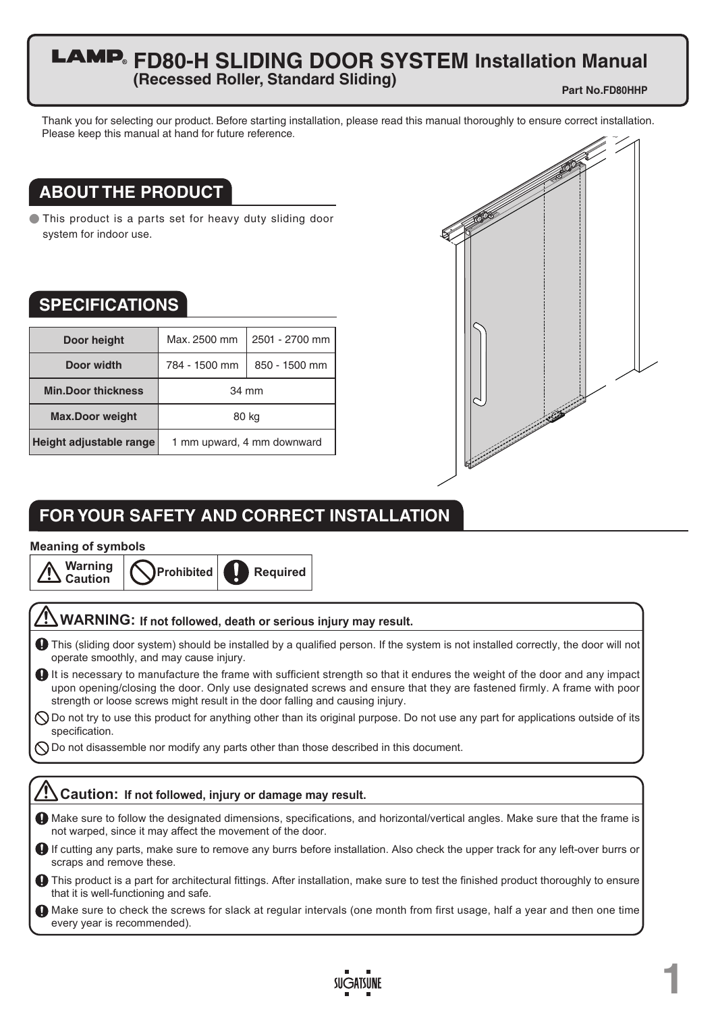### **FD80-H SLIDING DOOR SYSTEM Installation Manual (Recessed Roller, Standard Sliding)**

**Part No.FD80HHP**

**1**

Thank you for selecting our product. Before starting installation, please read this manual thoroughly to ensure correct installation. Please keep this manual at hand for future reference.

## **ABOUT THE PRODUCT**

● This product is a parts set for heavy duty sliding door system for indoor use.

### **SPECIFICATIONS**

| Door height               | Max. 2500 mm               | 2501 - 2700 mm |
|---------------------------|----------------------------|----------------|
| Door width                | 784 - 1500 mm              | 850 - 1500 mm  |
| <b>Min.Door thickness</b> | 34 mm                      |                |
| <b>Max.Door weight</b>    | 80 kg                      |                |
| Height adjustable range   | 1 mm upward, 4 mm downward |                |



## **FOR YOUR SAFETY AND CORRECT INSTALLATION**

#### **Meaning of symbols**

# **Prohibited Warning Caution Required**

### **WARNING: If not followed, death or serious injury may result.**

- This (sliding door system) should be installed by a qualified person. If the system is not installed correctly, the door will not operate smoothly, and may cause injury.
- It is necessary to manufacture the frame with sufficient strength so that it endures the weight of the door and any impact upon opening/closing the door. Only use designated screws and ensure that they are fastened firmly. A frame with poor strength or loose screws might result in the door falling and causing injury.
- $\bigcirc$  Do not try to use this product for anything other than its original purpose. Do not use any part for applications outside of its specification.
- $\bigcirc$  Do not disassemble nor modify any parts other than those described in this document.

### **Caution: If not followed, injury or damage may result.**

- Make sure to follow the designated dimensions, specifications, and horizontal/vertical angles. Make sure that the frame is not warped, since it may affect the movement of the door.
- If cutting any parts, make sure to remove any burrs before installation. Also check the upper track for any left-over burrs or scraps and remove these.
- This product is a part for architectural fittings. After installation, make sure to test the finished product thoroughly to ensure that it is well-functioning and safe.
- Make sure to check the screws for slack at regular intervals (one month from first usage, half a year and then one time every year is recommended).

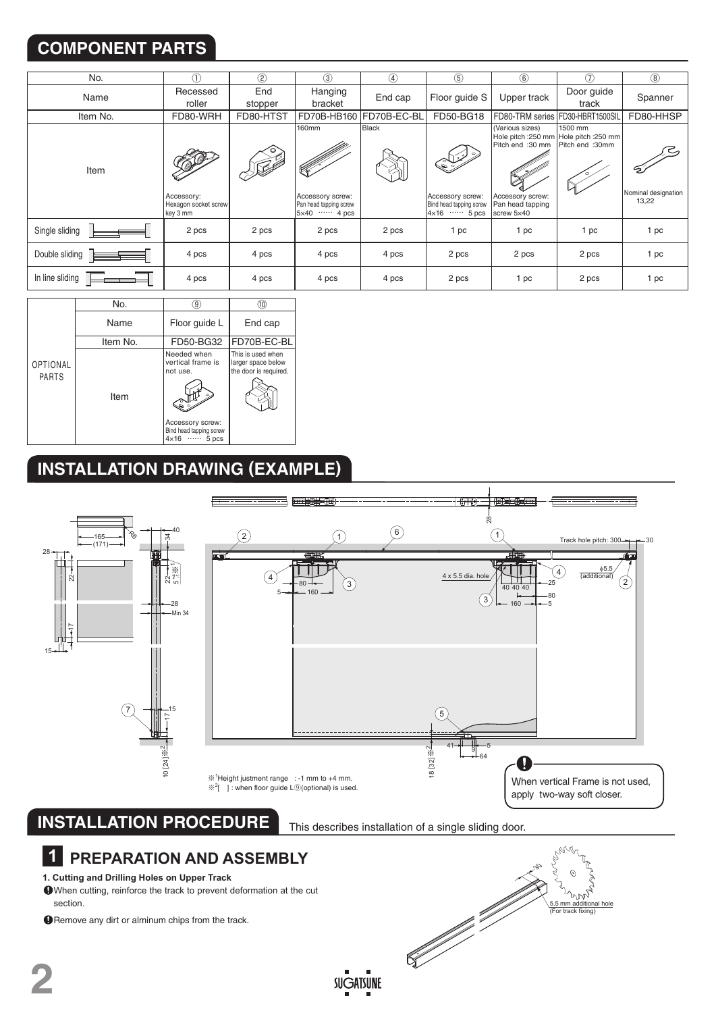# **COMPONENT PARTS**

| No.             |                                                | $\circled{2}$  | $\circled{3}$                                                              | $\circled{4}$           | $\circledS$                                                               | $\circled6$                                                                               | (7)                                                                   | $\circled{8}$                |
|-----------------|------------------------------------------------|----------------|----------------------------------------------------------------------------|-------------------------|---------------------------------------------------------------------------|-------------------------------------------------------------------------------------------|-----------------------------------------------------------------------|------------------------------|
| Name            | Recessed<br>roller                             | End<br>stopper | Hanging<br>bracket                                                         | End cap                 | Floor guide S                                                             | Upper track                                                                               | Door guide<br>track                                                   | Spanner                      |
| Item No.        | FD80-WRH                                       | FD80-HTST      |                                                                            | FD70B-HB160 FD70B-EC-BL | FD50-BG18                                                                 |                                                                                           | FD80-TRM series FD30-HBRT1500SIL                                      | FD80-HHSP                    |
| Item            | Accessory:<br>Hexagon socket screw<br>key 3 mm |                | <b>160mm</b><br>Accessory screw:<br>Pan head tapping screw<br>$5x40$ 4 pcs | Black                   | و پ<br>Accessory screw:<br>Bind head tapping screw<br>$4 \times 16$ 5 pcs | (Various sizes)<br>Pitch end :30 mm<br>Accessory screw:<br>Pan head tapping<br>screw 5x40 | 1500 mm<br>Hole pitch : 250 mm Hole pitch : 250 mm<br>Pitch end :30mm | Nominal designation<br>13,22 |
| Single sliding  | 2 pcs                                          | 2 pcs          | 2 pcs                                                                      | 2 pcs                   | 1 pc                                                                      | 1 pc                                                                                      | 1 pc                                                                  | 1 pc                         |
| Double sliding  | 4 pcs                                          | 4 pcs          | 4 pcs                                                                      | 4 pcs                   | 2 pcs                                                                     | 2 pcs                                                                                     | 2 pcs                                                                 | 1 pc                         |
| In line sliding | 4 pcs                                          | 4 pcs          | 4 pcs                                                                      | 4 pcs                   | 2 pcs                                                                     | 1 pc                                                                                      | 2 pcs                                                                 | 1 pc                         |

|                                 | No.      | 9)                                                                                                                       |                                                                  |
|---------------------------------|----------|--------------------------------------------------------------------------------------------------------------------------|------------------------------------------------------------------|
|                                 | Name     | Floor guide L                                                                                                            | End cap                                                          |
|                                 | Item No. | FD50-BG32                                                                                                                | FD70B-EC-BL                                                      |
| <b>OPTIONAL</b><br><b>PARTS</b> | Item     | Needed when<br>vertical frame is<br>not use.<br>۰.<br>Accessory screw:<br>Bind head tapping screw<br>$4 \times 16$ 5 pcs | This is used when<br>larger space below<br>the door is required. |

## **INSTALLATION DRAWING (EXAMPLE)**

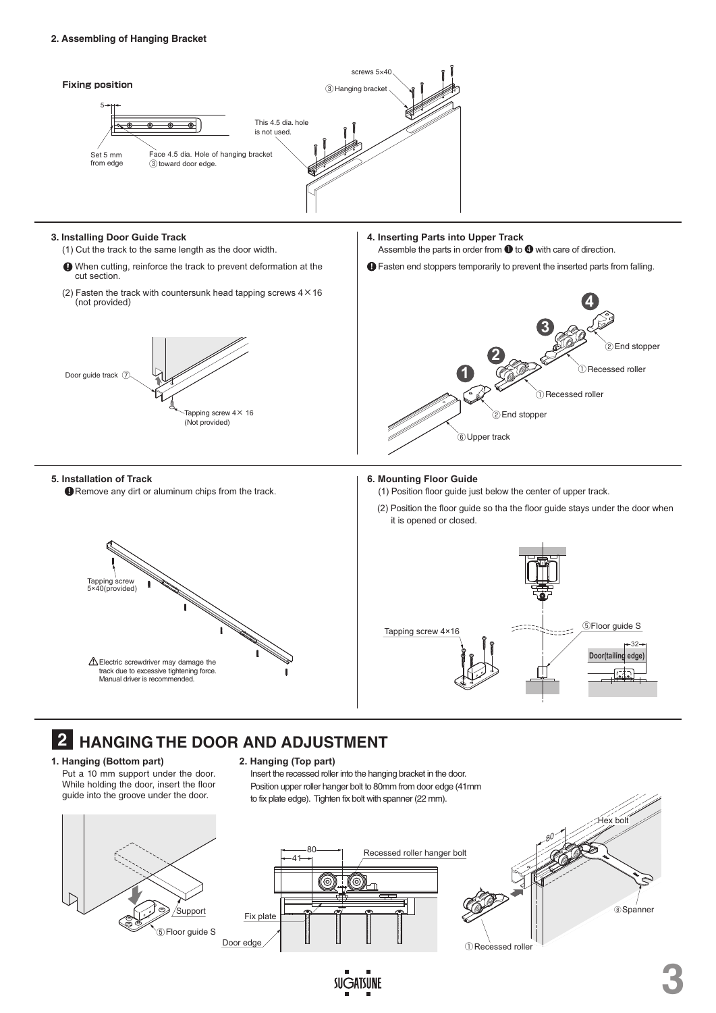

#### **3. Installing Door Guide Track**

- (1) Cut the track to the same length as the door width.
- When cutting, reinforce the track to prevent deformation at the cut section.
- (2) Fasten the track with countersunk head tapping screws  $4 \times 16$ (not provided)



**ID** Remove any dirt or aluminum chips from the track.

#### **4. Inserting Parts into Upper Track** Assemble the parts in order from  $\bigcirc$  to  $\bigcirc$  with care of direction.

 $\bigoplus$  Fasten end stoppers temporarily to prevent the inserted parts from falling.



#### **6. Mounting Floor Guide**

(1) Position floor guide just below the center of upper track.

(2) Position the floor guide so tha the floor guide stays under the door when it is opened or closed.





## **2 HANGING THE DOOR AND ADJUSTMENT**

**1. Hanging (Bottom part)**

**5. Installation of Track**

Put a 10 mm support under the door. While holding the door, insert the floor

#### **2. Hanging (Top part)**

Insert the recessed roller into the hanging bracket in the door. Position upper roller hanger bolt to 80mm from door edge (41mm to fix plate edge). Tighten fix bolt with spanner (22 mm).